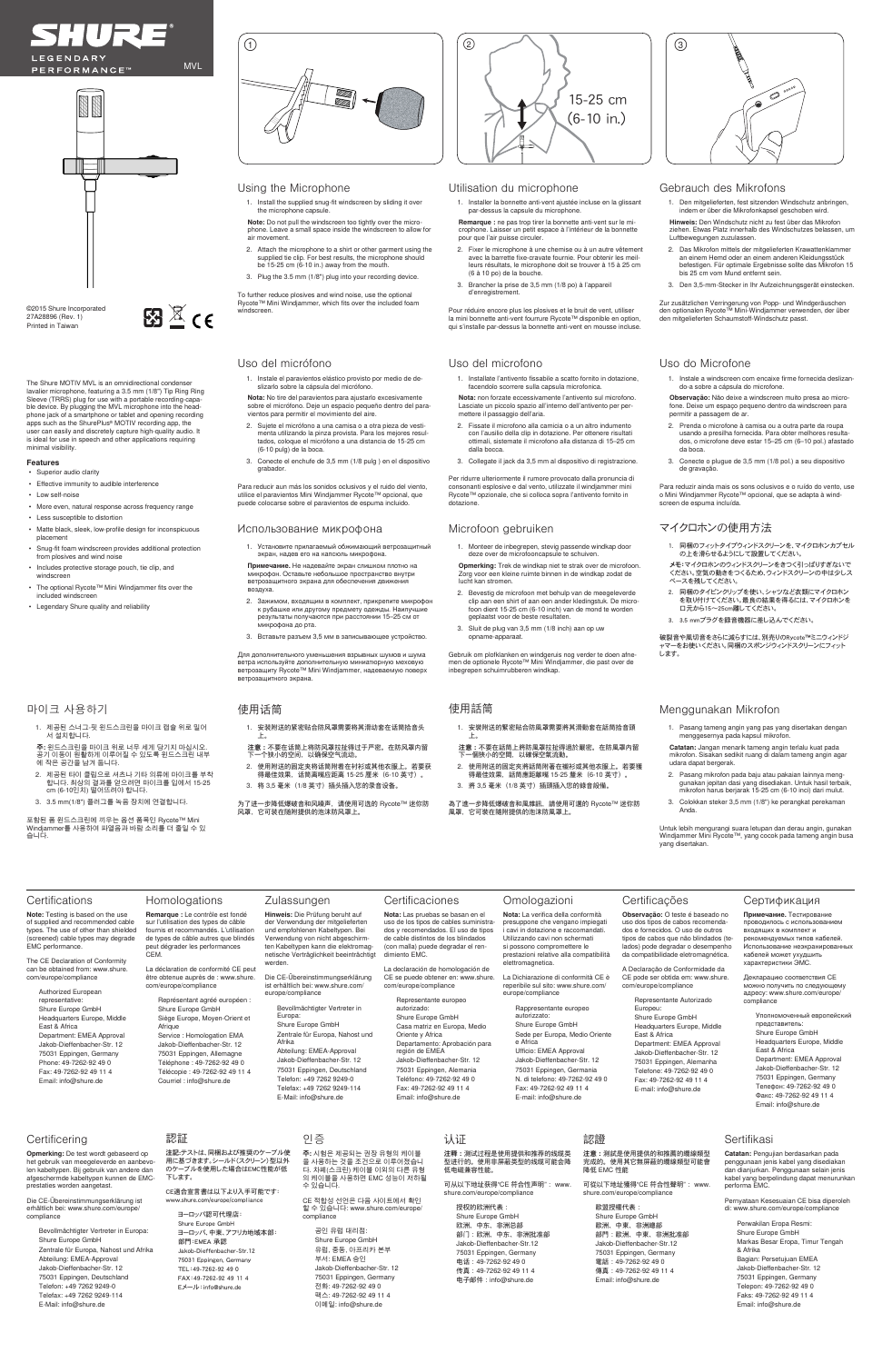



The Shure MOTIV MVL is an omnidirectional condenser lavalier microphone, featuring a 3.5 mm (1/8") Tip Ring Ring Sleeve (TRRS) plug for use with a portable recording-capable device. By plugging the MVL microphone into the head-phone jack of a smartphone or tablet and opening recording apps such as the ShurePlus® MOTIV recording app, the user can easily and discretely capture high-quality audio. It is ideal for use in speech and other applications requiring minimal visibility.

图 $\overline{\mathbb{Z}}$  (6

### **Features**

Authorized European resentati

- Superior audio clarity
- Effective immunity to audible interference
- Low self-noise
- More even, natural response across frequency range
- Less susceptible to distortion
- Matte black, sleek, low-profile design for inconspicuous ا <sup>ی</sup>ست.<br>placem
- Snug-fit foam windscreen provides additional protection from plosives and wind noise
- Includes protective storage pouch, tie clip, and windscreen
- The optional Rycote™ Mini Windjammer fits over the included windscreen
- Legendary Shure quality and reliability





# Certifications

**Note:** Testing is based on the use of supplied and recommended cable types. The use of other than shielded (screened) cable types may degrade EMC performance. **Remarque** : ne pas trop tirer la bonnette anti-vent sur le microphone. Laisser un petit espace à l'intérieur de la bonnette pour que l'air puisse circuler.

The CE Declaration of Conformity can be obtained from: www.shure. com/europe/compliance

> Shure Europe GmbH Headquarters Europe, Middle East & Africa Department: EMEA Approval Jakob-Dieffenbacher-Str. 12 75031 Eppingen, Germany Phone: 49-7262-92 49 0 Fax: 49-7262-92 49 11 4 Email: info@shure.de

©2015 Shure Incorporated 27A28896 (Rev. 1) Printed in Taiwan

Using the Microphone

- 1. Install the supplied snug-fit windscreen by sliding it over the microphone capsule.
- **Note:** Do not pull the windscreen too tightly over the microphone. Leave a small space inside the windscreen to allow for air movement.
- 2. Attach the microphone to a shirt or other garment using the supplied tie clip. For best results, the microphone should be 15-25 cm  $(6-10 \text{ in})$  away from the mouth.
- 3. Plug the 3.5 mm (1/8") plug into your recording device.

To further reduce plosives and wind noise, use the optional Rycote™ Mini Windjammer, which fits over the included foam windscreen.

### Utilisation du microphone

1. Installer la bonnette anti-vent ajustée incluse en la glissant par-dessus la capsule du microphone.

- 2. Fixer le microphone à une chemise ou à un autre vêtement avec la barrette fixe-cravate fournie. Pour obtenir les meilleurs résultats, le microphone doit se trouver à 15 à 25 cm (6 à 10 po) de la bouche.
- 3. Brancher la prise de 3,5 mm (1/8 po) à l'appareil d'enregistrement.

**Certificaciones Nota:** Las pruebas se basan en el uso de los tipos de cables suministrados y recomendados. El uso de tipos de cable distintos de los blindados (con malla) puede degradar el ren-

Pour réduire encore plus les plosives et le bruit de vent, utiliser la mini bonnette anti-vent fourrure Rycote™ disponible en option, qui s'installe par-dessus la bonnette anti-vent en mousse incluse.

**Remarque :** Le contrôle est fondé sur l'utilisation des types de câble fournis et recommandés. L'utilisation de types de câble autres que blindés peut dégrader les performances

CEM.

La déclaration de conformité CE peut être obtenue auprès de : www.shure. com/europe/compliance

> Représentant agréé européen : Shure Europe GmbH Siège Europe, Moyen-Orient et Afrique Service : Homologation EMA Jakob-Dieffenbacher-Str. 12 75031 Eppingen, Allemagne Téléphone : 49-7262-92 49 0 Télécopie : 49-7262-92 49 11 4 Courriel : info@shure.de

Per ridurre ulteriormente il rumore provocato dalla pronuncia di<br>consonanti esplosive e dal vento, utilizzate il windjammer mini<br>Rycote™ opzionale, che si colloca sopra l'antivento fornito in dotazione.

# Gebrauch des Mikrofons

#### Homologations Zulassungen

- 1. Den mitgelieferten, fest sitzenden Windschutz anbringen, indem er über die Mikrofonkapsel geschoben wird.
- **Hinweis:** Den Windschutz nicht zu fest über das Mikrofon ziehen. Etwas Platz innerhalb des Windschutzes belassen, um Luftbewegungen zuzulassen.
- 2. Das Mikrofon mittels der mitgelieferten Krawattenklammer an einem Hemd oder an einem anderen Kleidungsstück befestigen. Für optimale Ergebnisse sollte das Mikrofon 15 bis 25 cm vom Mund entfernt sein.
- 3. Den 3,5-mm-Stecker in Ihr Aufzeichnungsgerät einstecken.

Zur zusätzlichen Verringerung von Popp- und Windgeräuschen den optionalen Rycote™ Mini-Windjammer verwenden, der über den mitgelieferten Schaumstoff-Windschutz passt.

**Hinweis:** Die Prüfung beruht auf der Verwendung der mitgelieferten und empfohlenen Kabeltypen. Bei Verwendung von nicht abgeschirmten Kabeltypen kann die elektromagnetische Verträglichkeit beeinträchtigt

werden.

Die CE-Übereinstimmungserklärung ist erhältlich bei: www.shure.com/

europe/compliance

Bevollmächtigter Vertreter in Europa: Shure Europe GmbH Zentrale für Europa, Nahost und Afrika Abteilung: EMEA-Approval Jakob-Dieffenbacher-Str. 12 75031 Eppingen, Deutschland Telefon: +49 7262 9249-0 Telefax: +49 7262 9249-114

E-Mail: info@shure.de

# Uso del micrófono

1. Instale el paravientos elástico provisto por medio de de-slizarlo sobre la cápsula del micrófono.

**Nota:** No tire del paravientos para ajustarlo excesivamente sobre el micrófono. Deje un espacio pequeño dentro del paravientos para permitir el movimiento del aire.

- 2. Sujete el micrófono a una camisa o a otra pieza de vestimenta utilizando la pinza provista. Para los mejores resul-tados, coloque el micrófono a una distancia de 15-25 cm (6-10 pulg) de la boca.
- 3. Conecte el enchufe de 3,5 mm (1/8 pulg ) en el dispositivo grabador.

Para reducir aun más los sonidos oclusivos y el ruido del viento, utilice el paravientos Mini Windjammer Rycote™ opcional, que puede colocarse sobre el paravientos de espuma incluido.

> 1. 同梱のフィットタイプウィンドスクリーンを、マイクロホンカプセル の上を滑らせるようにして設置してください。

破裂音や風切音をさらに減らすには、別売りのRycote™ミニウィンドジ<br>ャマーをお使いください。同梱のスポンジウィンドスクリーンにフィット します。

注記:テストは、同梱および推奨のケーブル使 用に基づきます。シールド(スクリーン)型以外 のケーブルを使用した場合はEMC性能が低 ー<br>下します。

dimiento EMC.

La declaración de homologación de CE se puede obtener en: www.shure. com/europe/compliance

> Representante europeo autorizado: Shure Europe GmbH Casa matriz en Europa, Medio Oriente y Africa Departamento: Aprobación para región de EMEA Jakob-Dieffenbacher-Str. 12 75031 Eppingen, Alemania Teléfono: 49-7262-92 49 0 Fax: 49-7262-92 49 11 4 Email: info@shure.de

- 1. Installate l'antivento fissabile a scatto fornito in dotazione, cendolo scorrere sulla capsula microfonica
- **Nota:** non forzate eccessivamente l'antivento sul microfono. Lasciate un piccolo spazio all'interno dell'antivento per permettere il passaggio dell'aria.
- 2. Fissate il microfono alla camicia o a un altro indumento con l'ausilio della clip in dotazione. Per ottenere risultati ottimali, sistemate il microfono alla distanza di 15–25 cm dalla bocca.
- 3. Collegate il jack da 3,5 mm al dispositivo di registrazione.

**注意:**測試是使用提供的和推薦的纜線類型 。<br>,使用其它無屏蔽的纜線類型可能會 降低 EMC 性能

# Uso del microfono

Omologazioni **Nota:** La verifica della conformità presuppone che vengano impiegati i cavi in dotazione e raccomandati. Utilizzando cavi non schermati si possono compromettere le prestazioni relative alla compatibilità

elettromagnetica.

La Dichiarazione di conformità CE è reperibile sul sito: www.shure.com/

europe/compliance



Rappresentante europeo autorizzato: Shure Europe GmbH Sede per Europa, Medio Oriente e Africa Ufficio: EMEA Approval Jakob-Dieffenbacher-Str. 12 75031 Eppingen, Germania N. di telefono: 49-7262-92 49 0 Fax: 49-7262-92 49 11 4 E-mail: info@shure.de

## Uso do Microfone

1. Instale a windscreen com encaixe firme fornecida deslizando-a sobre a cápsula do microfone.

**Observação:** Não deixe a windscreen muito presa ao microfone. Deixe um espaço pequeno dentro da windscreen para permitir a passagem de ar.

- 2. Prenda o microfone à camisa ou a outra parte da roupa usando a presilha fornecida. Para obter melhores resulta-dos, o microfone deve estar 15–25 cm (6–10 pol.) afastado da boca.
- 3. Conecte o plugue de 3,5 mm (1/8 pol.) a seu dispositivo de gravação.

Para reduzir ainda mais os sons oclusivos e o ruído do vento, use o Mini Windjammer Rycote™ opcional, que se adapta à windscreen de espuma incluída.

Certificações **Observação:** O teste é baseado no uso dos tipos de cabos recomendados e fornecidos. O uso de outros tipos de cabos que não blindados (telados) pode degradar o desempenho da compatibilidade eletromagnética. A Declaração de Conformidade da CE pode ser obtida em: www.shure. com/europe/compliance

> Representante Autorizado Europeu: Shure Europe GmbH Headquarters Europe, Middle East & Africa Department: EMEA Approval Jakob-Dieffenbacher-Str. 12 75031 Eppingen, Alemanha Telefone: 49-7262-92 49 0 Fax: 49-7262-92 49 11 4

E-mail: info@shure.de

## Использование микрофона

- 1. Установите прилагаемый обжимающий ветрозащитный экран, надев его на капсюль микрофона.
- **Примечание.** Не надевайте экран слишком плотно на микрофон. Оставьте небольшое пространство внутри ветрозащитного экрана для обеспечения движения воздуха.
- 2. Зажимом, входящим в комплект, прикрепите микрофон к рубашке или другому предмету одежды. Наилучшие результаты получаются при расстоянии 15–25 см от микрофона до рта.
- 3. Вставьте разъем 3,5 мм в записывающее устройство.

Для дополнительного уменьшения взрывных шумов и шума ветра используйте дополнительную миниатюрную меховую ветрозащиту Rycote™ Mini Windjammer, надеваемую поверх ветрозащитного экрана.

> Сертификация **Примечание.** Тестирование проводилось с использованием входящих в комплект и рекомендуемых типов кабелей. Использование неэкранированных кабелей может ухудшить характеристики ЭМС. Декларацию соответствия CE можно получить по следующему адресу: www.shure.com/europe/

compliance

Уполномоченный европейский представитель: Shure Europe GmbH Headquarters Europe, Middle East & Africa Department: EMEA Approval Jakob-Dieffenbacher-Str. 12 75031 Eppingen, Germany Телефон: 49-7262-92 49 0 Факс: 49-7262-92 49 11 4 Email: info@shure.de

# **Certificering**

# Microfoon gebruiken

- 1. Monteer de inbegrepen, stevig passende windkap door deze over de microfooncapsule te schuiven.
- **Opmerking:** Trek de windkap niet te strak over de microfoon. Zorg voor een kleine ruimte binnen in de windkap zodat de lucht kan stromen.
- 2. Bevestig de microfoon met behulp van de meegeleverde clip aan een shirt of aan een ander kledingstuk. De micro-foon dient 15-25 cm (6-10 inch) van de mond te worden geplaatst voor de beste resultaten.
- 3. Sluit de plug van 3,5 mm (1/8 inch) aan op uw opname-apparaat.

Gebruik om plofklanken en windgeruis nog verder te doen afne-men de optionele Rycote™ Mini Windjammer, die past over de inbegrepen schuimrubberen windkap.

**Opmerking:** De test wordt gebaseerd op het gebruik van meegeleverde en aanbevo-len kabeltypen. Bij gebruik van andere dan afgeschermde kabeltypen kunnen de EMCprestaties worden aangetast.

Die CE-Übereinstimmungserklärung ist erhältlich bei: www.shure.com/europe/ compliance

Bevollmächtigter Vertreter in Europa: Shure Europe GmbH Zentrale für Europa, Nahost und Afrika Abteilung: EMEA-Approval Jakob-Dieffenbacher-Str. 12 75031 Eppingen, Deutschland Telefon: +49 7262 9249-0 Telefax: +49 7262 9249-114 E-Mail: info@shure.de

メモ:マイクロホンのウィンドスクリーンをきつく引っぱりすぎないで ください。空気の動きをつくるため、ウィンドスクリーンの中は少しス ペースを残してください。

- 2. 同梱のタイピンクリップを使い、シャツなど衣類にマイクロホン を取り付けてください。最良の結果を得るには、マイクロホンを 口元から15~25cm離してください。
- 3. 3.5 mmプラグを録音機器に差し込んでください。

# マイクロホンの使用方法

# 認証

CE適合宣言書は以下より入手可能です: www.shure.com/europe/compliance

> ヨーロッパ認可代理店: Shure Europe GmbH ヨーロッパ、中東、アフリカ地域本部: 部門:EMEA 承認 Jakob-Dieffenbacher-Str.12 75031 Eppingen, Germany TEL:49-7262-92 49 0 FAX:49-7262-92 49 11 4 Eメール:info@shure.de

# 마이크 사용하기

- 1. 제공된 스너그-핏 윈드스크린을 마이크 캡슐 위로 밀어 서 설치합니다.
- **주:** 윈드스크린을 마이크 위로 너무 세게 당기지 마십시오. 공기 이동이 원활하게 이루어질 수 있도록 윈드스크린 내부 에 작은 공간을 남겨 둡니다.
- 2. 제공된 타이 클립으로 셔츠나 기타 의류에 마이크를 부착 합니다. 최상의 결과를 얻으려면 마이크를 입에서 15-25 cm (6-10인치) 떨어뜨려야 합니다.
- 3. 3.5 mm(1/8") 플러그를 녹음 장치에 연결합니다.

포함된 폼 윈드스크린에 끼우는 옵션 품목인 Rycote™ Mini Windjammer를 사용하여 파열음과 바람 소리를 더 줄일 수 있 습니다.

# 인증

**주:** 시험은 제공되는 권장 유형의 케이블 을 사용하는 것을 조건으로 이루어졌습니 다. 차폐(스크린) 케이블 이외의 다른 유형 의 케이블을 사용하면 EMC 성능이 저하될 수 있습니다.

CE 적합성 선언은 다음 사이트에서 확인 할 수 있습니다: www.shure.com/europ compliance

공인 유럽 대리점: Shure Europe GmbH ------ - --------<br>유럽, 중동, 아프리카 본부 부서: EMEA 승인 Jakob-Dieffenbacher-Str. 12 75031 Eppingen, Germany 전화: 49-7262-92 49 0 팩스: 49-7262-92 49 11 4 이메일: info@shure.de

# 使用话筒

- 1. 安装附送的紧密贴合防风罩需要将其滑动套在话筒拾音头 上。
- 注意:不要在话筒上将防风罩拉扯得过于严密。在防风罩内留<br>下一个狭小的空间,以确保空气流动。 2. 使用附送的固定夹将话筒附着在衬衫或其他衣服上。若要获
- 得最佳效果,话筒离嘴应距离 15-25 厘米(6-10 英寸)。 3. 将 3,5 毫米 (1/8 英寸) 插头插入您的录音设备。
- 
- 为了进一步降低爆破音和风噪声,请使用可选的 Rycote™ 迷你防 风罩,它可装在随附提供的泡沫防风罩上。

# 认证

**注释:**测试过程是使用提供和推荐的线缆类 型进行的。使用非屏蔽类型的线缆可能会降 低电磁兼容性能。

可从以下地址获得"CE 符合性声明": www. shure.com/europe/compliance

授权的欧洲代表:

Shure Europe GmbH 欧洲、中东、非洲总部 部门:欧洲、中东、非洲批准部 Jakob-Dieffenbacher-Str.12 75031 Eppingen, Germany 电话: 49-7262-92 49 0 传真:49-7262-92 49 11 4 电子邮件:info@shure.de

- 1. 安裝附送的緊密貼合防風罩需要將其滑動套在話筒拾音頭 上。
- 注意:不要在話筒上將防風罩拉扯得過於嚴密。在防風罩内留<br>下一個狹小的空間,以確保空氣流動。
- 2. 使用附送的固定夾將話筒附著在襯衫或其他衣服上。若要獲 得最佳效果,話筒應距離嘴 15-25 釐米(6-10 英寸)。 3. 將 3,5 毫米 (1/8 英寸) 插頭插入您的錄音設備。
- 為了進一步降低爆破音和風雜訊,請使用可選的 Rycote™ 迷你防 風罩,它可裝在隨附提供的泡沫防風罩上。

# 使用話筒

# 認證

可從以下地址獲得"CE 符合性聲明": www. shure.com/europe/compliance

### 歐盟授權代表:

Shure Europe GmbH 歐洲、中東、非洲總部 部門:歐洲、中東、非洲批准部 Jakob-Dieffenbacher-Str.12 75031 Eppingen, Germany 電話: 49-7262-92 49 0 傳真:49-7262-92 49 11 4 Email: info@shure.de

# Menggunakan Mikrofon

1. Pasang tameng angin yang pas yang disertakan dengan menggesernya pada kapsul mikrofon.

**Catatan:** Jangan menarik tameng angin terlalu kuat pada mikrofon. Sisakan sedikit ruang di dalam tameng angin agar udara dapat bergerak.

- 2. Pasang mikrofon pada baju atau pakaian lainnya menggunakan jepitan dasi yang disediakan. Untuk hasil terbaik, mikrofon harus berjarak 15-25 cm (6-10 inci) dari mulut.
- 3. Colokkan steker 3,5 mm (1/8") ke perangkat perekaman Anda.

Untuk lebih mengurangi suara letupan dan derau angin, gunakan Windjammer Mini Rycote™, yang cocok pada tameng angin busa yang disertakan.

# Sertifikasi

**Catatan:** Pengujian berdasarkan pada penggunaan jenis kabel yang disediakan dan dianjurkan. Penggunaan selain jenis kabel yang berpelindung dapat menurunkan performa EMC.

Pernyataan Kesesuaian CE bisa diperoleh di: www.shure.com/europe/compliance

Perwakilan Eropa Resmi: Shure Europe GmbH Markas Besar Eropa, Timur Tengah & Afrika Bagian: Persetujuan EMEA Jakob-Dieffenbacher-Str. 12 75031 Eppingen, Germany Telepon: 49-7262-92 49 0 Faks: 49-7262-92 49 11 4 Email: info@shure.de